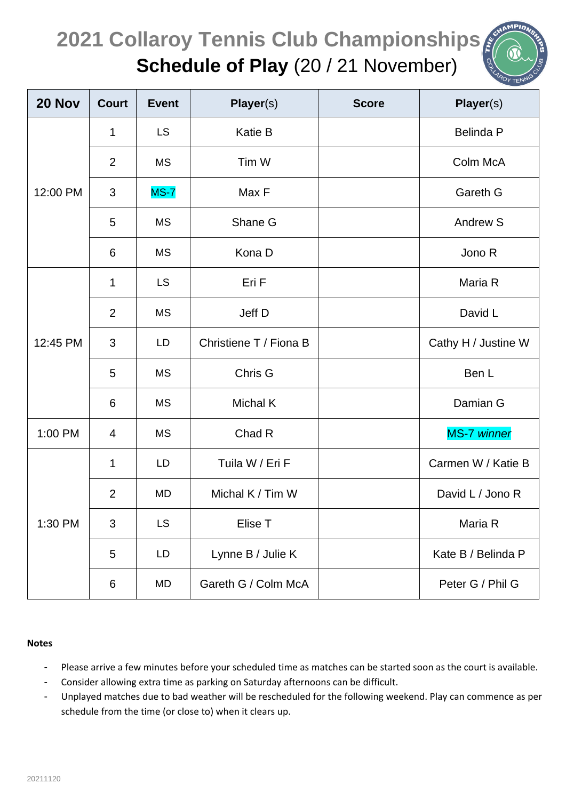## **2021 Collaroy Tennis Club Championships Schedule of Play** (20 / 21 November)

| 20 Nov   | <b>Court</b>   | <b>Event</b> | <b>Player(s)</b>       | <b>Score</b> | <b>Player(s)</b>    |
|----------|----------------|--------------|------------------------|--------------|---------------------|
| 12:00 PM | 1              | <b>LS</b>    | Katie B                |              | <b>Belinda P</b>    |
|          | 2              | <b>MS</b>    | Tim W                  |              | Colm McA            |
|          | 3              | $MS-7$       | Max F                  |              | Gareth G            |
|          | 5              | <b>MS</b>    | Shane G                |              | Andrew S            |
|          | 6              | <b>MS</b>    | Kona D                 |              | Jono R              |
| 12:45 PM | 1              | <b>LS</b>    | Eri F                  |              | Maria R             |
|          | $\overline{2}$ | <b>MS</b>    | Jeff D                 |              | David L             |
|          | 3              | LD           | Christiene T / Fiona B |              | Cathy H / Justine W |
|          | 5              | <b>MS</b>    | Chris G                |              | Ben L               |
|          | 6              | <b>MS</b>    | <b>Michal K</b>        |              | Damian G            |
| 1:00 PM  | 4              | <b>MS</b>    | Chad R                 |              | MS-7 winner         |
| 1:30 PM  | 1              | LD           | Tuila W / Eri F        |              | Carmen W / Katie B  |
|          | $\overline{2}$ | MD           | Michal K / Tim W       |              | David L / Jono R    |
|          | 3              | <b>LS</b>    | Elise T                |              | Maria R             |
|          | 5              | LD           | Lynne B / Julie K      |              | Kate B / Belinda P  |
|          | 6              | MD           | Gareth G / Colm McA    |              | Peter G / Phil G    |

## **Notes**

- Please arrive a few minutes before your scheduled time as matches can be started soon as the court is available.
- Consider allowing extra time as parking on Saturday afternoons can be difficult.
- Unplayed matches due to bad weather will be rescheduled for the following weekend. Play can commence as per schedule from the time (or close to) when it clears up.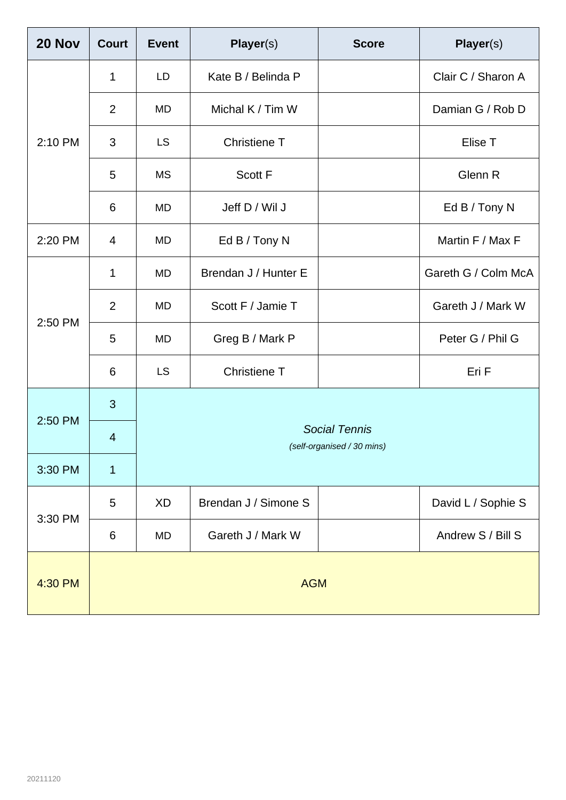| 20 Nov  | <b>Court</b>   | <b>Event</b>                                       | <b>Player(s)</b>     | <b>Score</b> | <b>Player(s)</b>    |  |
|---------|----------------|----------------------------------------------------|----------------------|--------------|---------------------|--|
| 2:10 PM | $\mathbf 1$    | LD                                                 | Kate B / Belinda P   |              | Clair C / Sharon A  |  |
|         | 2              | <b>MD</b>                                          | Michal K / Tim W     |              | Damian G / Rob D    |  |
|         | 3              | <b>LS</b>                                          | Christiene T         |              | Elise T             |  |
|         | 5              | <b>MS</b>                                          | Scott F              |              | Glenn R             |  |
|         | 6              | MD                                                 | Jeff D / Wil J       |              | Ed B / Tony N       |  |
| 2:20 PM | 4              | <b>MD</b>                                          | Ed B / Tony N        |              | Martin F / Max F    |  |
| 2:50 PM | 1              | <b>MD</b>                                          | Brendan J / Hunter E |              | Gareth G / Colm McA |  |
|         | $\overline{2}$ | MD                                                 | Scott F / Jamie T    |              | Gareth J / Mark W   |  |
|         | 5              | MD                                                 | Greg B / Mark P      |              | Peter G / Phil G    |  |
|         | 6              | <b>LS</b>                                          | <b>Christiene T</b>  |              | Eri F               |  |
| 2:50 PM | 3              |                                                    |                      |              |                     |  |
|         | $\overline{4}$ | <b>Social Tennis</b><br>(self-organised / 30 mins) |                      |              |                     |  |
| 3:30 PM | $\overline{1}$ |                                                    |                      |              |                     |  |
| 3:30 PM | 5              | <b>XD</b>                                          | Brendan J / Simone S |              | David L / Sophie S  |  |
|         | 6              | MD                                                 | Gareth J / Mark W    |              | Andrew S / Bill S   |  |
| 4:30 PM | <b>AGM</b>     |                                                    |                      |              |                     |  |